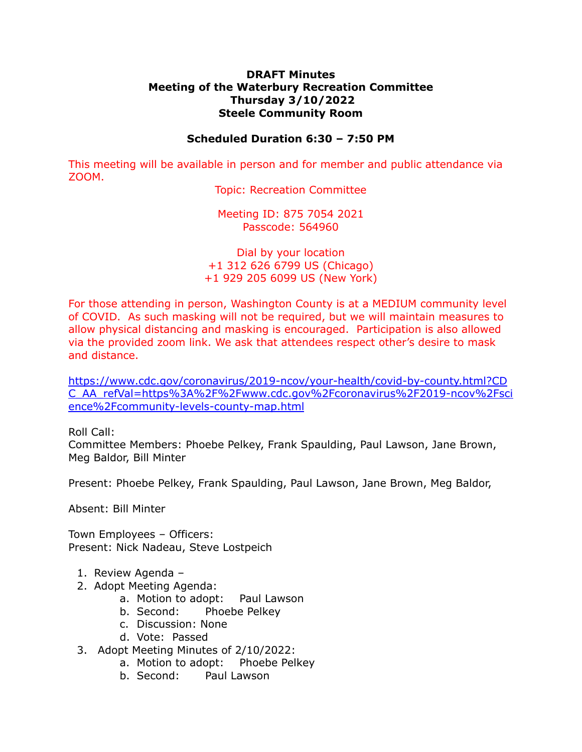## **DRAFT Minutes Meeting of the Waterbury Recreation Committee Thursday 3/10/2022 Steele Community Room**

## **Scheduled Duration 6:30 – 7:50 PM**

This meeting will be available in person and for member and public attendance via ZOOM.

Topic: Recreation Committee

Meeting ID: 875 7054 2021 Passcode: 564960

Dial by your location +1 312 626 6799 US (Chicago) +1 929 205 6099 US (New York)

For those attending in person, Washington County is at a MEDIUM community level of COVID. As such masking will not be required, but we will maintain measures to allow physical distancing and masking is encouraged. Participation is also allowed via the provided zoom link. We ask that attendees respect other's desire to mask and distance.

[https://www.cdc.gov/coronavirus/2019-ncov/your-health/covid-by-county.html?CD](https://www.cdc.gov/coronavirus/2019-ncov/your-health/covid-by-county.html?CDC_AA_refVal=https%3A%2F%2Fwww.cdc.gov%2Fcoronavirus%2F2019-ncov%2Fscience%2Fcommunity-levels-county-map.html) [C\\_AA\\_refVal=https%3A%2F%2Fwww.cdc.gov%2Fcoronavirus%2F2019-ncov%2Fsci](https://www.cdc.gov/coronavirus/2019-ncov/your-health/covid-by-county.html?CDC_AA_refVal=https%3A%2F%2Fwww.cdc.gov%2Fcoronavirus%2F2019-ncov%2Fscience%2Fcommunity-levels-county-map.html) [ence%2Fcommunity-levels-county-map.html](https://www.cdc.gov/coronavirus/2019-ncov/your-health/covid-by-county.html?CDC_AA_refVal=https%3A%2F%2Fwww.cdc.gov%2Fcoronavirus%2F2019-ncov%2Fscience%2Fcommunity-levels-county-map.html)

Roll Call:

Committee Members: Phoebe Pelkey, Frank Spaulding, Paul Lawson, Jane Brown, Meg Baldor, Bill Minter

Present: Phoebe Pelkey, Frank Spaulding, Paul Lawson, Jane Brown, Meg Baldor,

Absent: Bill Minter

Town Employees – Officers: Present: Nick Nadeau, Steve Lostpeich

- 1. Review Agenda –
- 2. Adopt Meeting Agenda:
	- a. Motion to adopt: Paul Lawson
	- b. Second: Phoebe Pelkey
	- c. Discussion: None
	- d. Vote: Passed
- 3. Adopt Meeting Minutes of 2/10/2022:
	- a. Motion to adopt: Phoebe Pelkey
	- b. Second: Paul Lawson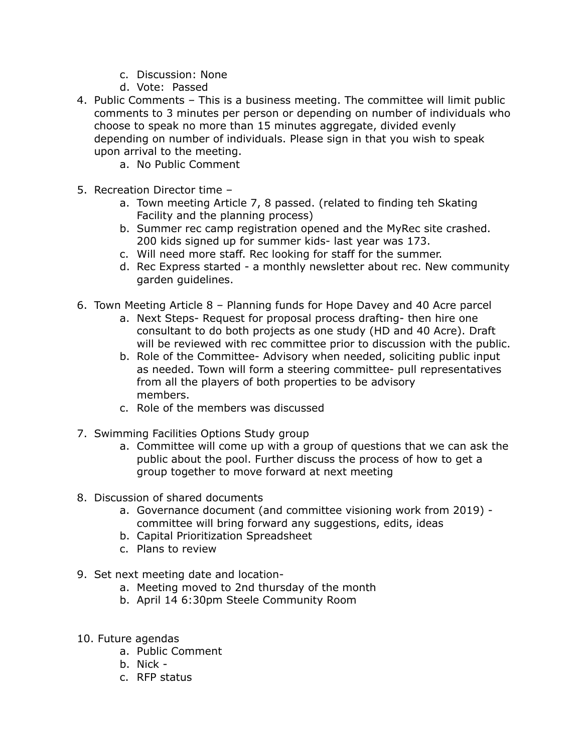- c. Discussion: None
- d. Vote: Passed
- 4. Public Comments This is a business meeting. The committee will limit public comments to 3 minutes per person or depending on number of individuals who choose to speak no more than 15 minutes aggregate, divided evenly depending on number of individuals. Please sign in that you wish to speak upon arrival to the meeting.
	- a. No Public Comment
- 5. Recreation Director time
	- a. Town meeting Article 7, 8 passed. (related to finding teh Skating Facility and the planning process)
	- b. Summer rec camp registration opened and the MyRec site crashed. 200 kids signed up for summer kids- last year was 173.
	- c. Will need more staff. Rec looking for staff for the summer.
	- d. Rec Express started a monthly newsletter about rec. New community garden guidelines.
- 6. Town Meeting Article 8 Planning funds for Hope Davey and 40 Acre parcel
	- a. Next Steps- Request for proposal process drafting- then hire one consultant to do both projects as one study (HD and 40 Acre). Draft will be reviewed with rec committee prior to discussion with the public.
	- b. Role of the Committee- Advisory when needed, soliciting public input as needed. Town will form a steering committee- pull representatives from all the players of both properties to be advisory members.
	- c. Role of the members was discussed
- 7. Swimming Facilities Options Study group
	- a. Committee will come up with a group of questions that we can ask the public about the pool. Further discuss the process of how to get a group together to move forward at next meeting
- 8. Discussion of shared documents
	- a. Governance document (and committee visioning work from 2019) committee will bring forward any suggestions, edits, ideas
	- b. Capital Prioritization Spreadsheet
	- c. Plans to review
- 9. Set next meeting date and location
	- a. Meeting moved to 2nd thursday of the month
	- b. April 14 6:30pm Steele Community Room
- 10. Future agendas
	- a. Public Comment
	- b. Nick -
	- c. RFP status